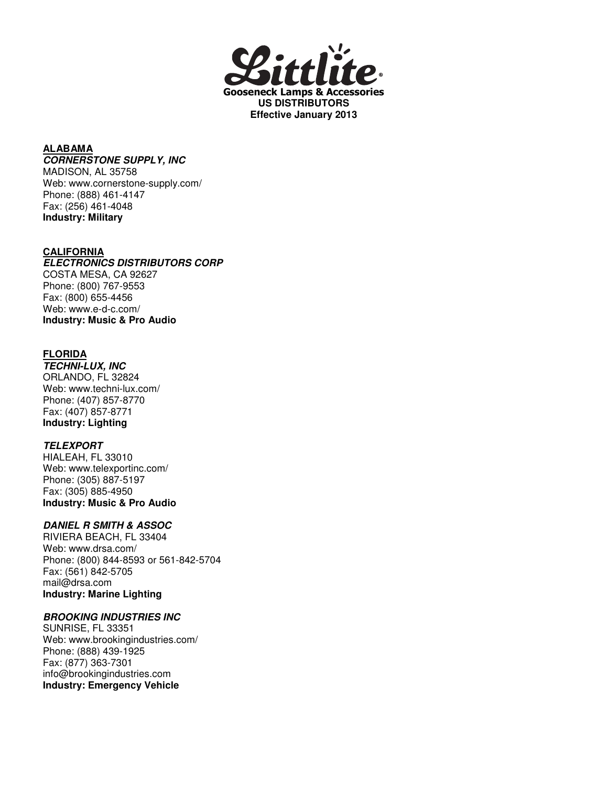

#### **ALABAMA CORNERSTONE SUPPLY, INC**

MADISON, AL 35758 Web: www.cornerstone-supply.com/ Phone: (888) 461-4147 Fax: (256) 461-4048 **Industry: Military**

### **CALIFORNIA**

#### **ELECTRONICS DISTRIBUTORS CORP** COSTA MESA, CA 92627

Phone: (800) 767-9553 Fax: (800) 655-4456 Web: www.e-d-c.com/ **Industry: Music & Pro Audio**

# **FLORIDA**

**TECHNI-LUX, INC** ORLANDO, FL 32824 Web: www.techni-lux.com/ Phone: (407) 857-8770 Fax: (407) 857-8771 **Industry: Lighting**

### **TELEXPORT**

HIALEAH, FL 33010 Web: www.telexportinc.com/ Phone: (305) 887-5197 Fax: (305) 885-4950 **Industry: Music & Pro Audio**

# **DANIEL R SMITH & ASSOC**

RIVIERA BEACH, FL 33404 Web: www.drsa.com/ Phone: (800) 844-8593 or 561-842-5704 Fax: (561) 842-5705 mail@drsa.com **Industry: Marine Lighting**

# **BROOKING INDUSTRIES INC**

SUNRISE, FL 33351 Web: www.brookingindustries.com/ Phone: (888) 439-1925 Fax: (877) 363-7301 info@brookingindustries.com **Industry: Emergency Vehicle**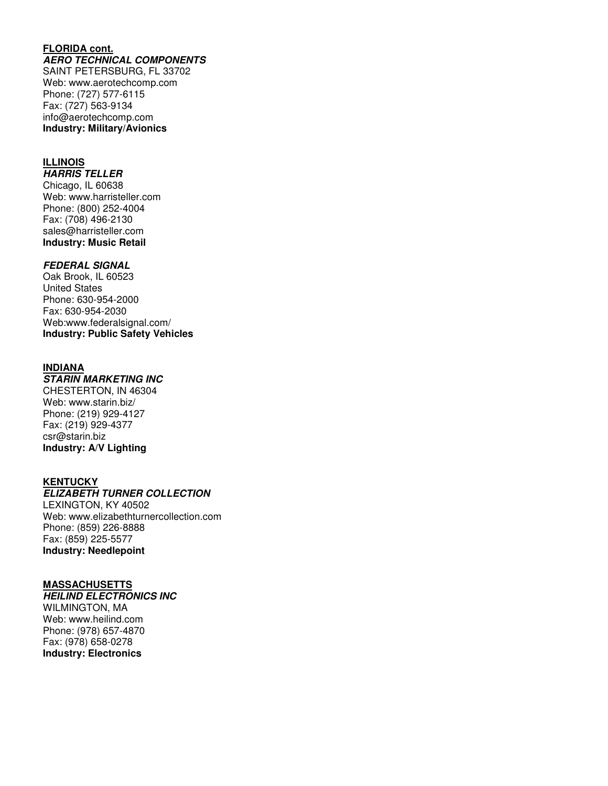#### **FLORIDA cont. AERO TECHNICAL COMPONENTS**

SAINT PETERSBURG, FL 33702 Web: www.aerotechcomp.com Phone: (727) 577-6115 Fax: (727) 563-9134 info@aerotechcomp.com **Industry: Military/Avionics**

#### **ILLINOIS**

**HARRIS TELLER** Chicago, IL 60638 Web: www.harristeller.com Phone: (800) 252-4004 Fax: (708) 496-2130 sales@harristeller.com **Industry: Music Retail**

#### **FEDERAL SIGNAL**

Oak Brook, IL 60523 United States Phone: 630-954-2000 Fax: 630-954-2030 Web:www.federalsignal.com/ **Industry: Public Safety Vehicles**

### **INDIANA**

### **STARIN MARKETING INC**

CHESTERTON, IN 46304 Web: www.starin.biz/ Phone: (219) 929-4127 Fax: (219) 929-4377 csr@starin.biz **Industry: A/V Lighting**

#### **KENTUCKY**

# **ELIZABETH TURNER COLLECTION**

LEXINGTON, KY 40502 Web: www.elizabethturnercollection.com Phone: (859) 226-8888 Fax: (859) 225-5577 **Industry: Needlepoint**

#### **MASSACHUSETTS**

**HEILIND ELECTRONICS INC** WILMINGTON, MA Web: www.heilind.com Phone: (978) 657-4870 Fax: (978) 658-0278 **Industry: Electronics**